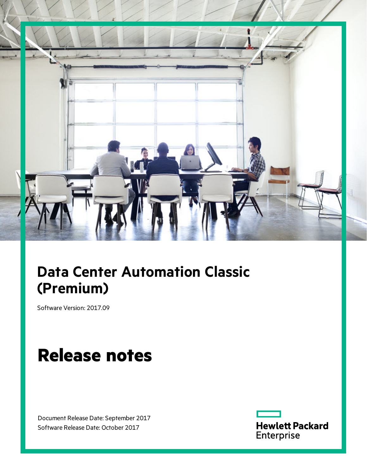

# **Data Center Automation Classic (Premium)**

Software Version: 2017.09

# **Release notes**

Document Release Date: September 2017 Software Release Date: October 2017

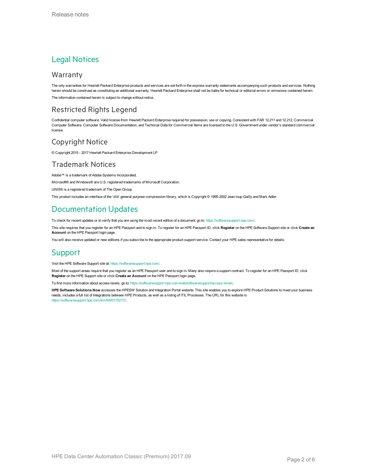### Legal Notices

#### **Warranty**

The only warranties for Hewlett Packard Enterprise products and services are set forth in the express warranty statements accompanying such products and services. Nothing herein should be construed as constituting an additional warranty. Hewlett Packard Enterprise shall not be liable for technical or editorial errors or omissions contained herein. The information contained herein is subject to change without notice.

#### Restricted Rights Legend

Confidential computer software. Valid license from Hewlett Packard Enterprise required for possession, use or copying. Consistent with FAR 12.211 and 12.212, Commercial Computer Software, Computer Software Documentation, and Technical Data for Commercial Items are licensed to the U.S. Government under vendor's standard commercial license.

#### Copyright Notice

© Copyright 2015 - 2017 Hewlett Packard Enterprise Development LP

#### Trademark Notices

Adobe™ is a trademark of Adobe Systems Incorporated.

Microsoft® and Windows® are U.S. registered trademarks of Microsoft Corporation.

UNIX® is a registered trademark of The Open Group.

This product includes an interface of the 'zlib' general purpose compression library, which is Copyright © 1995-2002 Jean-loup Gailly and Mark Adler.

### Documentation Updates

To check for recent updates or to verify that you are using the most recent edition of a document, go to: <https://softwaresupport.hpe.com/>.

This site requires that you register for an HPE Passport and to sign in. To register for an HPE Passport ID, click **Register** on the HPE Software Support site or click **Create an Account** on the HPE Passport login page.

You will also receive updated or new editions if you subscribe to the appropriate product support service. Contact your HPE sales representative for details.

#### Support

Visit the HPE Software Support site at: <https://softwaresupport.hpe.com/>.

Most of the support areas require that you register as an HPE Passport user and to sign in. Many also require a support contract. To register for an HPE Passport ID, click **Register** on the HPE Support site or click **Create an Account** on the HPE Passport login page.

To find more information about access levels, go to: <https://softwaresupport.hpe.com/web/softwaresupport/access-levels>.

**HPE Software Solutions Now** accesses the HPESW Solution and Integration Portal website. This site enables you to explore HPE Product Solutions to meet your business needs, includes a full list of Integrations between HPE Products, as well as a listing of ITIL Processes. The URL for this website is [https://softwaresupport.hpe.com/km/KM01702731.](https://softwaresupport.hpe.com/km/KM01702731)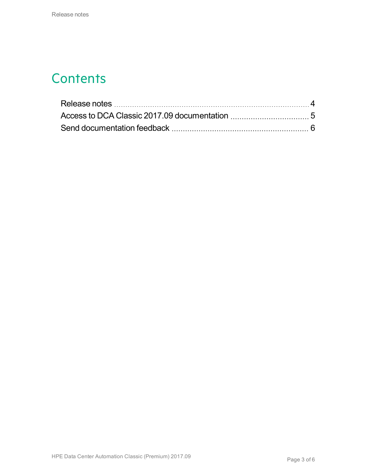### **Contents**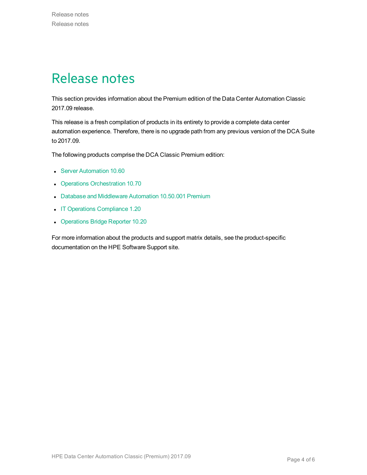### <span id="page-3-0"></span>Release notes

This section provides information about the Premium edition of the Data Center Automation Classic 2017.09 release.

This release is a fresh compilation of products in its entirety to provide a complete data center automation experience. Therefore, there is no upgrade path from any previous version of the DCA Suite to 2017.09.

The following products comprise the DCA Classic Premium edition:

- **.** Server [Automation](https://docs.software.hpe.com/SA/10.60/Content/Release_Notes/release_notes.htm) 10.60
- Operations [Orchestration](http://docs.software.hpe.com/OO/10.70/Content/ReleaseNotes_Welcome.htm) 10.70
- Database and [Middleware](https://docs.software.hpe.com/DMA/10.50.001/Premium/Content/Home.htm) Automation 10.50.001 Premium
- IT Operations [Compliance](http://docs.software.hpe.com/ITOC/1.20/Content/ITOC_Content/release_notes_cover_page.htm) 1.20
- [Operations](https://docs.software.hpe.com/OBR/10.20/Content/Home.htm) Bridge Reporter 10.20

For more information about the products and support matrix details, see the product-specific documentation on the HPE Software Support site.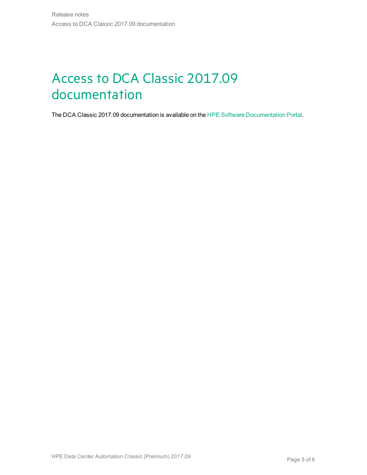# <span id="page-4-0"></span>Access to DCA Classic 2017.09 documentation

The DCA Classic 2017.09 documentation is available on the HPE Software [Documentation](https://docs.software.hpe.com/DCA/2017.08/Content/Home.htm) Portal.